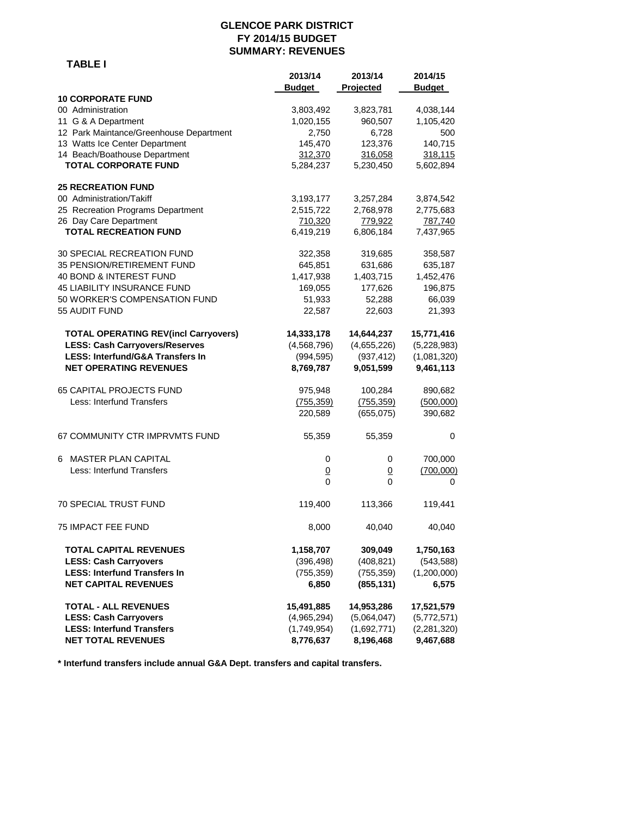#### **GLENCOE PARK DISTRICT FY 2014/15 BUDGET SUMMARY: REVENUES**

 **TABLE I**

|                                             | 2013/14        | 2013/14     | 2014/15       |
|---------------------------------------------|----------------|-------------|---------------|
|                                             | <b>Budget</b>  | Projected   | <b>Budget</b> |
| <b>10 CORPORATE FUND</b>                    |                |             |               |
| 00 Administration                           | 3,803,492      | 3,823,781   | 4,038,144     |
| 11 G & A Department                         | 1,020,155      | 960,507     | 1,105,420     |
| 12 Park Maintance/Greenhouse Department     | 2,750          | 6,728       | 500           |
| 13 Watts Ice Center Department              | 145,470        | 123,376     | 140,715       |
| 14 Beach/Boathouse Department               | 312,370        | 316,058     | 318,115       |
| <b>TOTAL CORPORATE FUND</b>                 | 5,284,237      | 5,230,450   | 5,602,894     |
| <b>25 RECREATION FUND</b>                   |                |             |               |
| 00 Administration/Takiff                    | 3,193,177      | 3,257,284   | 3,874,542     |
| 25 Recreation Programs Department           | 2,515,722      | 2,768,978   | 2,775,683     |
| 26 Day Care Department                      | 710,320        | 779,922     | 787,740       |
| <b>TOTAL RECREATION FUND</b>                | 6,419,219      | 6,806,184   | 7,437,965     |
| 30 SPECIAL RECREATION FUND                  | 322,358        | 319,685     | 358,587       |
| 35 PENSION/RETIREMENT FUND                  | 645,851        | 631,686     | 635,187       |
| 40 BOND & INTEREST FUND                     | 1,417,938      | 1,403,715   | 1,452,476     |
| <b>45 LIABILITY INSURANCE FUND</b>          | 169,055        | 177,626     | 196,875       |
| 50 WORKER'S COMPENSATION FUND               | 51,933         | 52,288      | 66,039        |
| 55 AUDIT FUND                               | 22,587         | 22,603      | 21,393        |
| <b>TOTAL OPERATING REV(incl Carryovers)</b> | 14,333,178     | 14,644,237  | 15,771,416    |
| <b>LESS: Cash Carryovers/Reserves</b>       | (4,568,796)    | (4,655,226) | (5,228,983)   |
| <b>LESS: Interfund/G&amp;A Transfers In</b> | (994, 595)     | (937, 412)  | (1,081,320)   |
| <b>NET OPERATING REVENUES</b>               | 8,769,787      | 9,051,599   | 9,461,113     |
| <b>65 CAPITAL PROJECTS FUND</b>             | 975,948        | 100,284     | 890,682       |
| Less: Interfund Transfers                   | (755, 359)     | (755, 359)  | (500,000)     |
|                                             | 220,589        | (655,075)   | 390,682       |
| 67 COMMUNITY CTR IMPRVMTS FUND              | 55,359         | 55,359      | 0             |
| 6 MASTER PLAN CAPITAL                       | 0              | 0           | 700,000       |
| Less: Interfund Transfers                   | $\overline{0}$ | <u>0</u>    | (700,000)     |
|                                             | 0              | 0           | 0             |
| 70 SPECIAL TRUST FUND                       | 119,400        | 113,366     | 119,441       |
| <b>75 IMPACT FEE FUND</b>                   | 8,000          | 40,040      | 40,040        |
| TOTAL CAPITAL REVENUES                      | 1,158,707      | 309,049     | 1,750,163     |
| <b>LESS: Cash Carryovers</b>                | (396, 498)     | (408, 821)  | (543, 588)    |
| <b>LESS: Interfund Transfers In</b>         | (755, 359)     | (755, 359)  | (1,200,000)   |
| <b>NET CAPITAL REVENUES</b>                 | 6,850          | (855, 131)  | 6,575         |
| <b>TOTAL - ALL REVENUES</b>                 | 15,491,885     | 14,953,286  | 17,521,579    |
| <b>LESS: Cash Carryovers</b>                | (4,965,294)    | (5,064,047) | (5,772,571)   |
| <b>LESS: Interfund Transfers</b>            | (1,749,954)    | (1,692,771) | (2, 281, 320) |
| <b>NET TOTAL REVENUES</b>                   | 8,776,637      | 8,196,468   | 9,467,688     |

**\* Interfund transfers include annual G&A Dept. transfers and capital transfers.**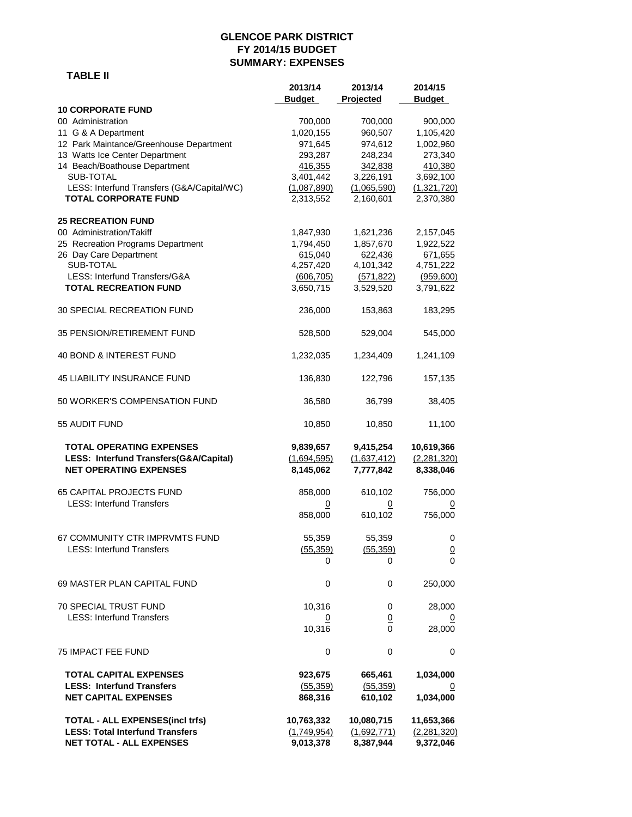## **GLENCOE PARK DISTRICT FY 2014/15 BUDGET SUMMARY: EXPENSES**

## **TABLE II**

|                                                                                                            | 2013/14<br><b>Budget</b>              | 2013/14<br>Projected                  | 2014/15<br><b>Budget</b>               |
|------------------------------------------------------------------------------------------------------------|---------------------------------------|---------------------------------------|----------------------------------------|
| <b>10 CORPORATE FUND</b>                                                                                   |                                       |                                       |                                        |
| 00 Administration                                                                                          | 700,000                               | 700,000                               | 900,000                                |
| 11 G & A Department                                                                                        | 1,020,155                             | 960,507                               | 1,105,420                              |
| 12 Park Maintance/Greenhouse Department                                                                    | 971,645                               | 974,612                               | 1,002,960                              |
| 13 Watts Ice Center Department                                                                             | 293,287                               | 248,234                               | 273,340                                |
| 14 Beach/Boathouse Department                                                                              | 416,355                               | 342,838                               | 410,380                                |
| SUB-TOTAL                                                                                                  | 3,401,442                             | 3,226,191                             | 3,692,100                              |
| LESS: Interfund Transfers (G&A/Capital/WC)                                                                 | (1,087,890)                           | (1,065,590)                           | (1,321,720)                            |
| <b>TOTAL CORPORATE FUND</b>                                                                                | 2,313,552                             | 2,160,601                             | 2,370,380                              |
| <b>25 RECREATION FUND</b>                                                                                  |                                       |                                       |                                        |
| 00 Administration/Takiff                                                                                   | 1,847,930                             | 1,621,236                             | 2,157,045                              |
| 25 Recreation Programs Department                                                                          | 1,794,450                             | 1,857,670                             | 1,922,522                              |
| 26 Day Care Department                                                                                     | 615,040                               | 622,436                               | 671,655                                |
| SUB-TOTAL                                                                                                  | 4,257,420                             | 4,101,342                             | 4,751,222                              |
| LESS: Interfund Transfers/G&A                                                                              | (606, 705)                            | (571, 822)                            | (959,600)                              |
| <b>TOTAL RECREATION FUND</b>                                                                               | 3,650,715                             | 3,529,520                             | 3,791,622                              |
| <b>30 SPECIAL RECREATION FUND</b>                                                                          | 236,000                               | 153,863                               | 183,295                                |
| 35 PENSION/RETIREMENT FUND                                                                                 | 528,500                               | 529,004                               | 545,000                                |
| 40 BOND & INTEREST FUND                                                                                    | 1,232,035                             | 1,234,409                             | 1,241,109                              |
| <b>45 LIABILITY INSURANCE FUND</b>                                                                         | 136,830                               | 122,796                               | 157,135                                |
| 50 WORKER'S COMPENSATION FUND                                                                              | 36,580                                | 36,799                                | 38,405                                 |
| 55 AUDIT FUND                                                                                              | 10,850                                | 10,850                                | 11,100                                 |
| <b>TOTAL OPERATING EXPENSES</b><br>LESS: Interfund Transfers(G&A/Capital)<br><b>NET OPERATING EXPENSES</b> | 9,839,657<br>(1,694,595)<br>8,145,062 | 9,415,254<br>(1,637,412)<br>7,777,842 | 10,619,366<br>(2,281,320)<br>8,338,046 |
| <b>65 CAPITAL PROJECTS FUND</b>                                                                            | 858,000                               | 610,102                               | 756,000                                |
| <b>LESS: Interfund Transfers</b>                                                                           | 0                                     | 0                                     | 0                                      |
|                                                                                                            | 858,000                               | 610,102                               | 756,000                                |
| 67 COMMUNITY CTR IMPRVMTS FUND                                                                             | 55,359                                | 55,359                                | 0                                      |
| <b>LESS: Interfund Transfers</b>                                                                           | (55, 359)                             | (55, 359)                             | $\underline{0}$                        |
|                                                                                                            | 0                                     | 0                                     | 0                                      |
| 69 MASTER PLAN CAPITAL FUND                                                                                | 0                                     | 0                                     | 250,000                                |
| 70 SPECIAL TRUST FUND                                                                                      | 10,316                                | 0                                     | 28,000                                 |
| <b>LESS: Interfund Transfers</b>                                                                           | $\overline{0}$                        | <u>0</u>                              | $\overline{0}$                         |
|                                                                                                            | 10,316                                | 0                                     | 28,000                                 |
| 75 IMPACT FEE FUND                                                                                         | 0                                     | 0                                     | 0                                      |
| <b>TOTAL CAPITAL EXPENSES</b>                                                                              | 923,675                               | 665,461                               | 1,034,000                              |
| <b>LESS: Interfund Transfers</b>                                                                           | (55, 359)                             | (55, 359)                             | $\overline{\Omega}$                    |
| <b>NET CAPITAL EXPENSES</b>                                                                                | 868,316                               | 610,102                               | 1,034,000                              |
| <b>TOTAL - ALL EXPENSES(incl trfs)</b>                                                                     | 10,763,332                            | 10,080,715                            | 11,653,366                             |
| <b>LESS: Total Interfund Transfers</b>                                                                     | (1,749,954)                           | (1,692,771)                           | (2, 281, 320)                          |
| <b>NET TOTAL - ALL EXPENSES</b>                                                                            | 9,013,378                             | 8,387,944                             | 9,372,046                              |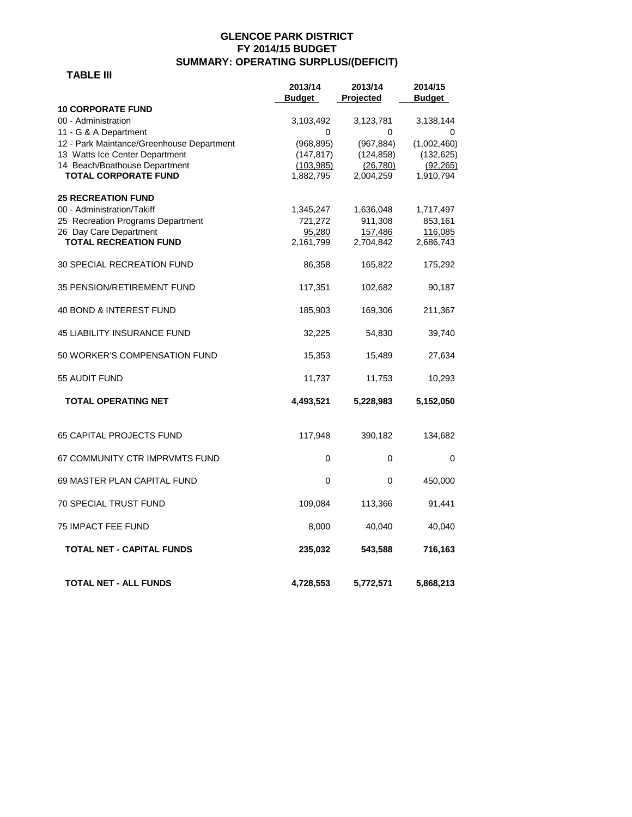### **GLENCOE PARK DISTRICT FY 2014/15 BUDGET SUMMARY: OPERATING SURPLUS/(DEFICIT)**

### **TABLE III**

|                                           | 2013/14    | 2013/14    | 2014/15       |
|-------------------------------------------|------------|------------|---------------|
|                                           | Budget     | Projected  | <b>Budget</b> |
| <b>10 CORPORATE FUND</b>                  |            |            |               |
| 00 - Administration                       | 3,103,492  | 3,123,781  | 3,138,144     |
| 11 - G & A Department                     | 0          | 0          | 0             |
| 12 - Park Maintance/Greenhouse Department | (968, 895) | (967, 884) | (1,002,460)   |
| 13 Watts Ice Center Department            | (147, 817) | (124, 858) | (132, 625)    |
| 14 Beach/Boathouse Department             | (103, 985) | (26, 780)  | (92, 265)     |
| <b>TOTAL CORPORATE FUND</b>               | 1,882,795  | 2,004,259  | 1,910,794     |
| <b>25 RECREATION FUND</b>                 |            |            |               |
| 00 - Administration/Takiff                | 1,345,247  | 1,636,048  | 1,717,497     |
| 25 Recreation Programs Department         | 721,272    | 911,308    | 853,161       |
| 26 Day Care Department                    | 95,280     | 157,486    | 116,085       |
| <b>TOTAL RECREATION FUND</b>              | 2,161,799  | 2,704,842  | 2,686,743     |
|                                           |            |            |               |
| 30 SPECIAL RECREATION FUND                | 86,358     | 165,822    | 175,292       |
| 35 PENSION/RETIREMENT FUND                | 117,351    | 102,682    | 90,187        |
|                                           |            |            |               |
| 40 BOND & INTEREST FUND                   | 185,903    | 169,306    | 211,367       |
| <b>45 LIABILITY INSURANCE FUND</b>        | 32,225     | 54,830     | 39,740        |
| 50 WORKER'S COMPENSATION FUND             | 15,353     | 15,489     | 27,634        |
| 55 AUDIT FUND                             | 11,737     | 11,753     | 10,293        |
| <b>TOTAL OPERATING NET</b>                | 4,493,521  | 5,228,983  | 5,152,050     |
|                                           |            |            |               |
| <b>65 CAPITAL PROJECTS FUND</b>           | 117,948    | 390,182    | 134,682       |
| 67 COMMUNITY CTR IMPRVMTS FUND            | 0          | 0          | 0             |
| 69 MASTER PLAN CAPITAL FUND               | 0          | 0          | 450,000       |
| <b>70 SPECIAL TRUST FUND</b>              | 109,084    | 113,366    | 91,441        |
|                                           |            |            |               |
| 75 IMPACT FEE FUND                        | 8,000      | 40,040     | 40,040        |
| <b>TOTAL NET - CAPITAL FUNDS</b>          | 235,032    | 543,588    | 716,163       |
| TOTAL NET - ALL FUNDS                     | 4,728,553  | 5,772,571  | 5,868,213     |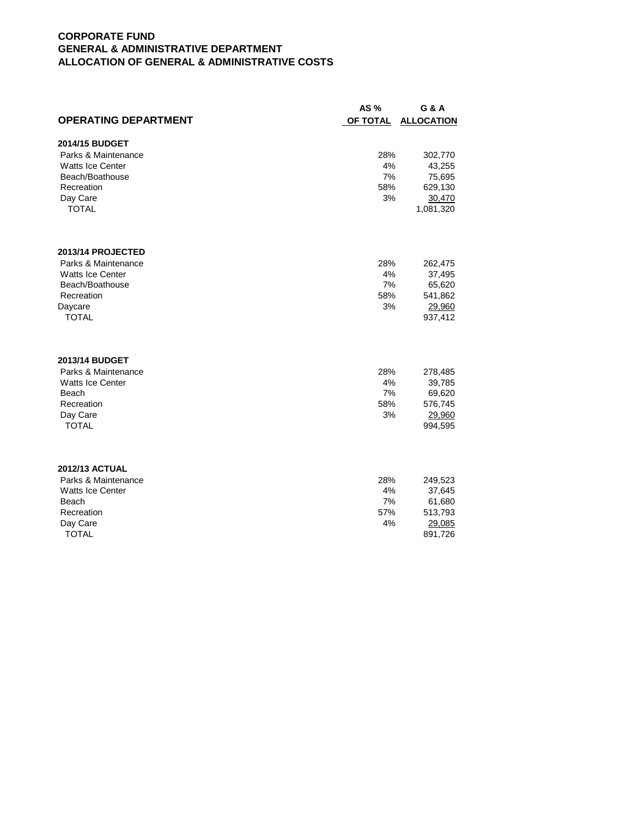### **CORPORATE FUND GENERAL & ADMINISTRATIVE DEPARTMENT ALLOCATION OF GENERAL & ADMINISTRATIVE COSTS**

|                             | AS%             | G & A             |
|-----------------------------|-----------------|-------------------|
| <b>OPERATING DEPARTMENT</b> | <b>OF TOTAL</b> | <b>ALLOCATION</b> |
| 2014/15 BUDGET              |                 |                   |
| Parks & Maintenance         | 28%             | 302,770           |
| <b>Watts Ice Center</b>     | 4%              | 43,255            |
| Beach/Boathouse             | 7%              | 75,695            |
| Recreation                  | 58%             | 629,130           |
| Day Care                    | 3%              | 30,470            |
| <b>TOTAL</b>                |                 | 1,081,320         |
| 2013/14 PROJECTED           |                 |                   |
| Parks & Maintenance         | 28%             |                   |
| <b>Watts Ice Center</b>     | 4%              | 262,475<br>37,495 |
| Beach/Boathouse             | 7%              | 65,620            |
| Recreation                  | 58%             | 541,862           |
| Daycare                     | 3%              | 29,960            |
| <b>TOTAL</b>                |                 | 937,412           |
| 2013/14 BUDGET              |                 |                   |
| Parks & Maintenance         | 28%             | 278,485           |
| Watts Ice Center            | 4%              | 39,785            |
| Beach                       | 7%              | 69,620            |
| Recreation                  | 58%             | 576,745           |
| Day Care                    | 3%              | 29,960            |
| <b>TOTAL</b>                |                 | 994,595           |
| <b>2012/13 ACTUAL</b>       |                 |                   |
| Parks & Maintenance         | 28%             | 249,523           |
| <b>Watts Ice Center</b>     | 4%              | 37,645            |
| Beach                       | 7%              | 61,680            |
| Recreation                  | 57%             | 513,793           |
| Day Care                    | 4%              | 29,085            |
| <b>TOTAL</b>                |                 | 891,726           |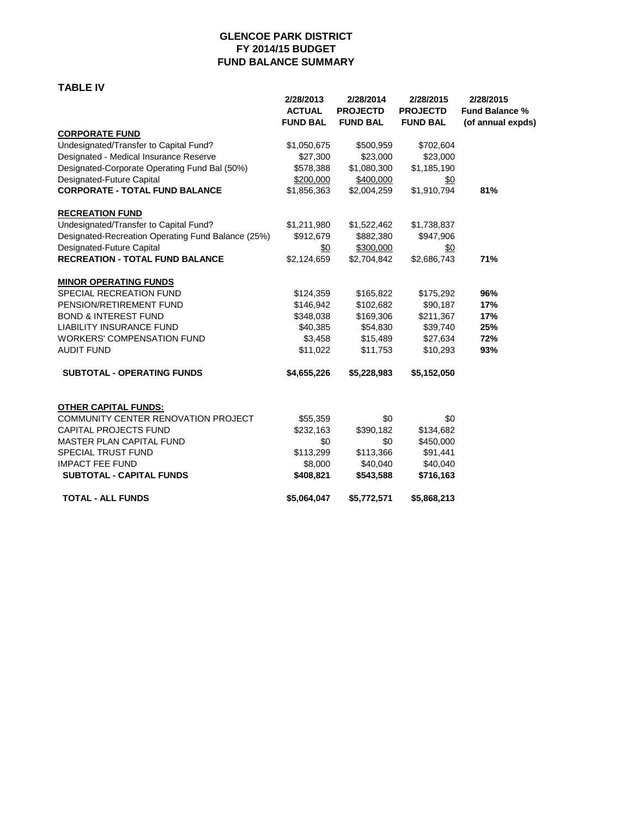### **GLENCOE PARK DISTRICT FY 2014/15 BUDGET FUND BALANCE SUMMARY**

#### **TABLE IV**

|                                                    | 2/28/2013<br><b>ACTUAL</b><br><b>FUND BAL</b> | 2/28/2014<br><b>PROJECTD</b><br><b>FUND BAL</b> | 2/28/2015<br><b>PROJECTD</b><br><b>FUND BAL</b> | 2/28/2015<br><b>Fund Balance %</b><br>(of annual expds) |
|----------------------------------------------------|-----------------------------------------------|-------------------------------------------------|-------------------------------------------------|---------------------------------------------------------|
| <b>CORPORATE FUND</b>                              |                                               |                                                 |                                                 |                                                         |
| Undesignated/Transfer to Capital Fund?             | \$1,050,675                                   | \$500,959                                       | \$702,604                                       |                                                         |
| Designated - Medical Insurance Reserve             | \$27,300                                      | \$23,000                                        | \$23,000                                        |                                                         |
| Designated-Corporate Operating Fund Bal (50%)      | \$578,388                                     | \$1,080,300                                     | \$1,185,190                                     |                                                         |
| Designated-Future Capital                          | \$200,000                                     | \$400,000                                       | \$0                                             |                                                         |
| <b>CORPORATE - TOTAL FUND BALANCE</b>              | \$1,856,363                                   | \$2,004,259                                     | \$1,910,794                                     | 81%                                                     |
| <b>RECREATION FUND</b>                             |                                               |                                                 |                                                 |                                                         |
| Undesignated/Transfer to Capital Fund?             | \$1,211,980                                   | \$1,522,462                                     | \$1,738,837                                     |                                                         |
| Designated-Recreation Operating Fund Balance (25%) | \$912,679                                     | \$882,380                                       | \$947,906                                       |                                                         |
| Designated-Future Capital                          | $\frac{60}{20}$                               | \$300,000                                       | $\frac{60}{20}$                                 |                                                         |
| <b>RECREATION - TOTAL FUND BALANCE</b>             | \$2,124,659                                   | \$2,704,842                                     | \$2,686,743                                     | 71%                                                     |
| <b>MINOR OPERATING FUNDS</b>                       |                                               |                                                 |                                                 |                                                         |
| SPECIAL RECREATION FUND                            | \$124,359                                     | \$165,822                                       | \$175,292                                       | 96%                                                     |
| PENSION/RETIREMENT FUND                            | \$146,942                                     | \$102,682                                       | \$90,187                                        | 17%                                                     |
| <b>BOND &amp; INTEREST FUND</b>                    | \$348,038                                     | \$169,306                                       | \$211,367                                       | 17%                                                     |
| <b>LIABILITY INSURANCE FUND</b>                    | \$40,385                                      | \$54,830                                        | \$39,740                                        | 25%                                                     |
| <b>WORKERS' COMPENSATION FUND</b>                  | \$3,458                                       | \$15,489                                        | \$27,634                                        | 72%                                                     |
| <b>AUDIT FUND</b>                                  | \$11,022                                      | \$11,753                                        | \$10,293                                        | 93%                                                     |
| <b>SUBTOTAL - OPERATING FUNDS</b>                  | \$4,655,226                                   | \$5,228,983                                     | \$5,152,050                                     |                                                         |
| <b>OTHER CAPITAL FUNDS:</b>                        |                                               |                                                 |                                                 |                                                         |
| <b>COMMUNITY CENTER RENOVATION PROJECT</b>         | \$55,359                                      | \$0                                             | \$0                                             |                                                         |
| CAPITAL PROJECTS FUND                              | \$232,163                                     | \$390,182                                       | \$134,682                                       |                                                         |
| <b>MASTER PLAN CAPITAL FUND</b>                    | \$0                                           | \$0                                             | \$450,000                                       |                                                         |
| <b>SPECIAL TRUST FUND</b>                          | \$113,299                                     | \$113,366                                       | \$91,441                                        |                                                         |
| <b>IMPACT FEE FUND</b>                             | \$8,000                                       | \$40,040                                        | \$40,040                                        |                                                         |
| <b>SUBTOTAL - CAPITAL FUNDS</b>                    | \$408,821                                     | \$543,588                                       | \$716,163                                       |                                                         |
| <b>TOTAL - ALL FUNDS</b>                           | \$5,064,047                                   | \$5,772,571                                     | \$5,868,213                                     |                                                         |